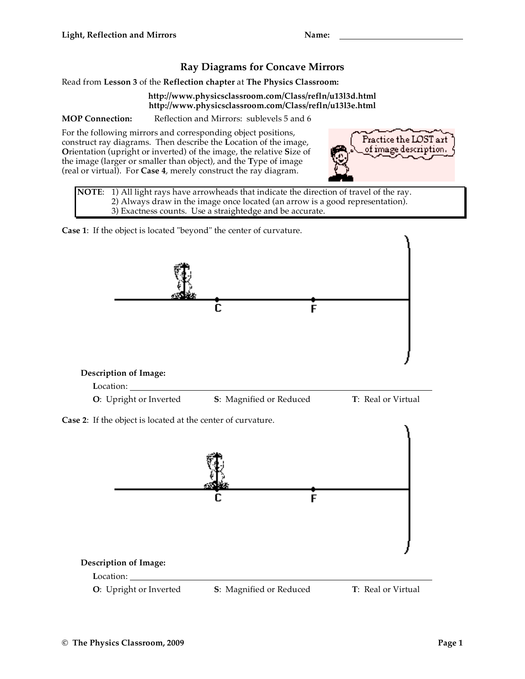## **Ray Diagrams for Concave Mirrors**

Read from **Lesson 3** of the **Reflection chapter** at **The Physics Classroom:**

## **http://www.physicsclassroom.com/Class/refln/u13l3d.html http://www.physicsclassroom.com/Class/refln/u13l3e.html**

**MOP Connection:** Reflection and Mirrors: sublevels 5 and 6

For the following mirrors and corresponding object positions, construct ray diagrams. Then describe the **L**ocation of the image, **O**rientation (upright or inverted) of the image, the relative **S**ize of the image (larger or smaller than object), and the **T**ype of image (real or virtual). For **Case 4**, merely construct the ray diagram.



**NOTE**: 1) All light rays have arrowheads that indicate the direction of travel of the ray. 2) Always draw in the image once located (an arrow is a good representation). 3) Exactness counts. Use a straightedge and be accurate.

**Case 1**: If the object is located "beyond" the center of curvature.